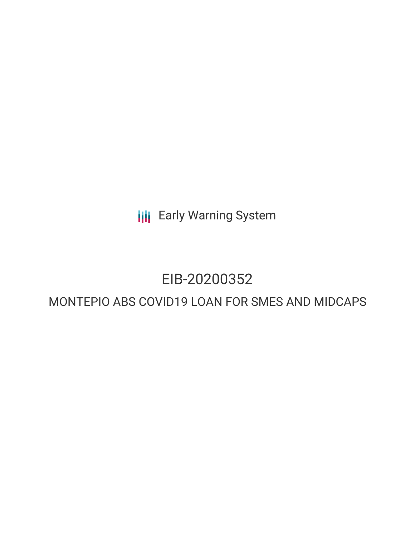**III** Early Warning System

## EIB-20200352

### MONTEPIO ABS COVID19 LOAN FOR SMES AND MIDCAPS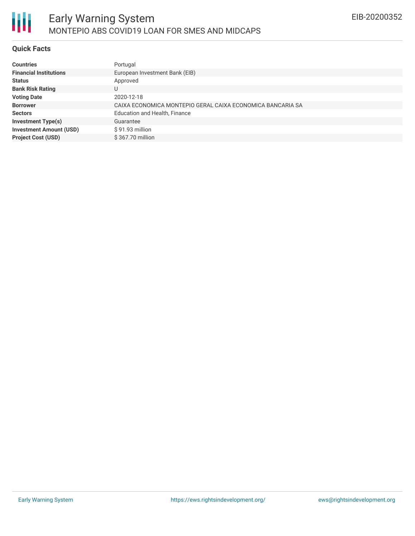

#### **Quick Facts**

朋

| <b>Countries</b>               | Portugal                                                   |
|--------------------------------|------------------------------------------------------------|
| <b>Financial Institutions</b>  | European Investment Bank (EIB)                             |
| <b>Status</b>                  | Approved                                                   |
| <b>Bank Risk Rating</b>        |                                                            |
| <b>Voting Date</b>             | 2020-12-18                                                 |
| <b>Borrower</b>                | CAIXA ECONOMICA MONTEPIO GERAL CAIXA ECONOMICA BANCARIA SA |
| <b>Sectors</b>                 | Education and Health, Finance                              |
| <b>Investment Type(s)</b>      | Guarantee                                                  |
| <b>Investment Amount (USD)</b> | \$91.93 million                                            |
| <b>Project Cost (USD)</b>      | \$367.70 million                                           |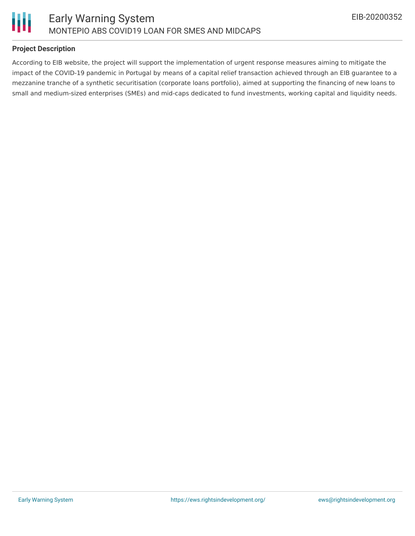

#### **Project Description**

According to EIB website, the project will support the implementation of urgent response measures aiming to mitigate the impact of the COVID-19 pandemic in Portugal by means of a capital relief transaction achieved through an EIB guarantee to a mezzanine tranche of a synthetic securitisation (corporate loans portfolio), aimed at supporting the financing of new loans to small and medium-sized enterprises (SMEs) and mid-caps dedicated to fund investments, working capital and liquidity needs.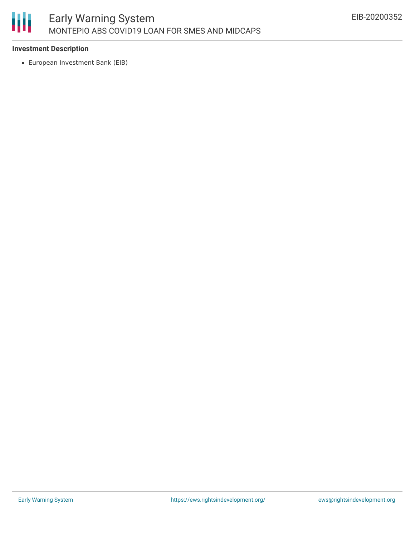# 圃

#### **Investment Description**

European Investment Bank (EIB)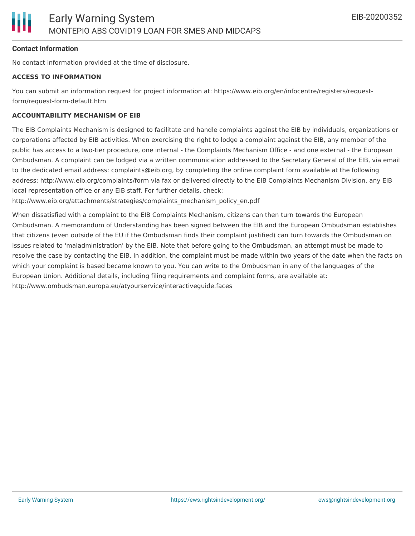#### **Contact Information**

No contact information provided at the time of disclosure.

#### **ACCESS TO INFORMATION**

You can submit an information request for project information at: https://www.eib.org/en/infocentre/registers/requestform/request-form-default.htm

#### **ACCOUNTABILITY MECHANISM OF EIB**

The EIB Complaints Mechanism is designed to facilitate and handle complaints against the EIB by individuals, organizations or corporations affected by EIB activities. When exercising the right to lodge a complaint against the EIB, any member of the public has access to a two-tier procedure, one internal - the Complaints Mechanism Office - and one external - the European Ombudsman. A complaint can be lodged via a written communication addressed to the Secretary General of the EIB, via email to the dedicated email address: complaints@eib.org, by completing the online complaint form available at the following address: http://www.eib.org/complaints/form via fax or delivered directly to the EIB Complaints Mechanism Division, any EIB local representation office or any EIB staff. For further details, check:

http://www.eib.org/attachments/strategies/complaints\_mechanism\_policy\_en.pdf

When dissatisfied with a complaint to the EIB Complaints Mechanism, citizens can then turn towards the European Ombudsman. A memorandum of Understanding has been signed between the EIB and the European Ombudsman establishes that citizens (even outside of the EU if the Ombudsman finds their complaint justified) can turn towards the Ombudsman on issues related to 'maladministration' by the EIB. Note that before going to the Ombudsman, an attempt must be made to resolve the case by contacting the EIB. In addition, the complaint must be made within two years of the date when the facts on which your complaint is based became known to you. You can write to the Ombudsman in any of the languages of the European Union. Additional details, including filing requirements and complaint forms, are available at: http://www.ombudsman.europa.eu/atyourservice/interactiveguide.faces